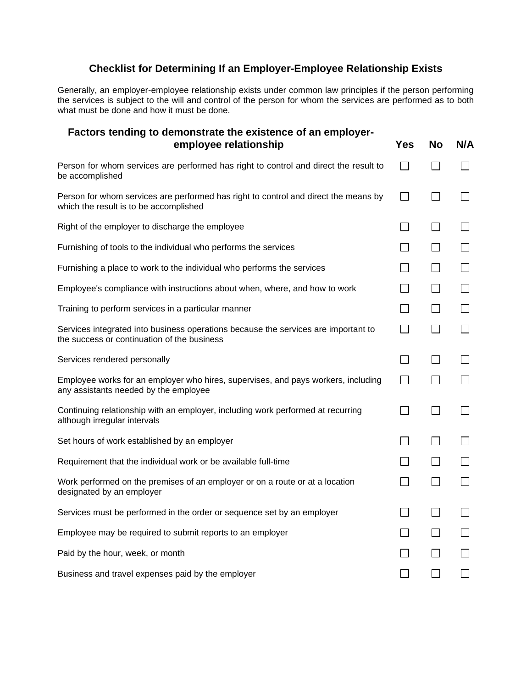## **Checklist for Determining If an Employer-Employee Relationship Exists**

Generally, an employer-employee relationship exists under common law principles if the person performing the services is subject to the will and control of the person for whom the services are performed as to both what must be done and how it must be done.

| Factors tending to demonstrate the existence of an employer-<br>employee relationship                                             | <b>Yes</b>               | <b>No</b>                | N/A               |
|-----------------------------------------------------------------------------------------------------------------------------------|--------------------------|--------------------------|-------------------|
| Person for whom services are performed has right to control and direct the result to<br>be accomplished                           | $\Box$                   | $\mathsf{L}$             | $\Box$            |
| Person for whom services are performed has right to control and direct the means by<br>which the result is to be accomplished     | $\mathcal{L}$            | $\mathbf{I}$             |                   |
| Right of the employer to discharge the employee                                                                                   |                          | $\Box$                   | $\mathsf{L}$      |
| Furnishing of tools to the individual who performs the services                                                                   | $\blacksquare$           | $\mathsf{L}$             | $\Box$            |
| Furnishing a place to work to the individual who performs the services                                                            | $\blacksquare$           | $\mathsf{L}$             | $\Box$            |
| Employee's compliance with instructions about when, where, and how to work                                                        | $\blacksquare$           | $\Box$                   | $\Box$            |
| Training to perform services in a particular manner                                                                               | $\overline{\phantom{a}}$ | $\Box$                   | П                 |
| Services integrated into business operations because the services are important to<br>the success or continuation of the business | $\Box$                   | $\Box$                   | $\Box$            |
| Services rendered personally                                                                                                      | $\overline{\phantom{a}}$ | $\mathsf{L}$             | $\Box$            |
| Employee works for an employer who hires, supervises, and pays workers, including<br>any assistants needed by the employee        | $\vert \ \ \vert$        | $\vert \ \ \vert$        | $\Box$            |
| Continuing relationship with an employer, including work performed at recurring<br>although irregular intervals                   | $\Box$                   | П                        | $\Box$            |
| Set hours of work established by an employer                                                                                      | $\blacksquare$           | $\Box$                   | $\Box$            |
| Requirement that the individual work or be available full-time                                                                    |                          | $\mathbf{I}$             | $\mathsf{L}$      |
| Work performed on the premises of an employer or on a route or at a location<br>designated by an employer                         | $\blacksquare$           | П                        | $\Box$            |
| Services must be performed in the order or sequence set by an employer                                                            | $\blacksquare$           | $\mathsf{L}$             | $\Box$            |
| Employee may be required to submit reports to an employer                                                                         | $\overline{\phantom{a}}$ | $\sim$                   | $\Box$            |
| Paid by the hour, week, or month                                                                                                  | $\overline{\phantom{a}}$ | $\overline{\phantom{a}}$ | $\Box$            |
| Business and travel expenses paid by the employer                                                                                 | $\overline{\phantom{a}}$ | $\mathsf{L}$             | $\vert \ \ \vert$ |